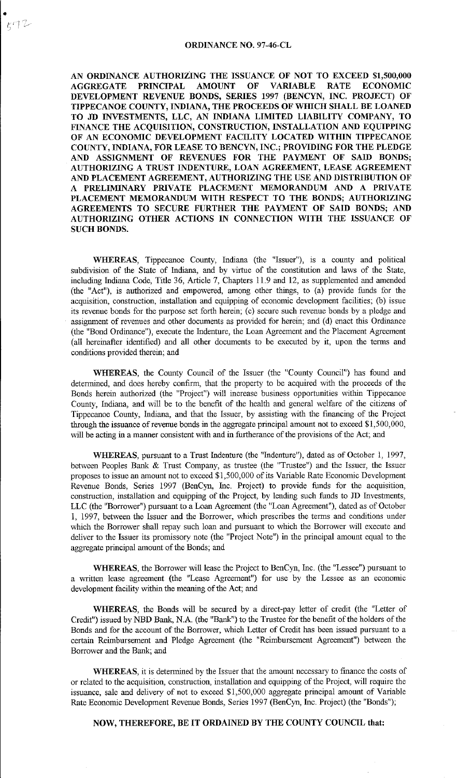AN ORDINANCE AUTHORIZING THE ISSUANCE OF NOT TO EXCEED \$1,500,000 AGGREGATE PRINCIPAL AMOUNT OF VARIABLE RATE ECONOMIC DEVELOPMENT REVENUE BONDS, SERIES 1997 (BENCYN, INC. PROJECT) OF TIPPECANOE COUNTY, INDIANA, THE PROCEEDS OF WHICH SHALL BE LOANED TO JD INVESTMENTS, LLC, AN INDIANA LIMITED LIABILITY COMPANY, TO FINANCE THE ACQUISITION, CONSTRUCTION, INSTALLATION AND EQUIPPING OF AN ECONOMIC DEVELOPMENT FACILITY LOCATED WITHIN TIPPECANOE COUNTY, INDIANA, FOR LEASE TO BENCYN, INC.; PROVIDING FOR THE PLEDGE AND ASSIGNMENT OF REVENUES FOR THE PAYMENT OF SAID BONDS; AUTHORIZING A TRUST INDENTURE, LOAN AGREEMENT, LEASE AGREEMENT AND PLACEMENT AGREEMENT, AUTHORIZING THE USE AND DISTRIBUTION OF A PRELIMINARY PRIVATE PLACEMENT MEMORANDUM AND A PRIVATE PLACEMENT MEMORANDUM WITH RESPECT TO THE BONDS; AUTHORIZING AGREEMENTS TO SECURE FURTHER THE PAYMENT OF SAID BONDS; AND AUTHORIZING OTHER ACTIONS IN CONNECTION WITH THE ISSUANCE OF SUCH BONDS.

WHEREAS, Tippecanoe County, Indiana (the "Issuer"), is a conuty and political subdivision of the State of Indiana, and by virtue of the constitution and laws of the State, including Indiana Code, Title 36, Article 7, Chapters 11.9 and 12. as supplemented and amended (the "Act"). is authorized and empowered, among other things, to (a) provide funds for the acquisition, construction, installation and equipping of economic development facilities; (b) issue its revenue bonds for the purpose set forth herein; (c) secure such revenue bonds by a pledge and assignment of revenues and other documents as provided for herein; and (d) enact this Ordinance (the "Bond Ordinance"), execute the Indenture, the Loan Agreement and the Placement Agreement (all hereinafter identified) and all other documents to be executed by it, upon the terms and conditions provided therein; and

WHEREAS, the County Council of the Issuer (the "County Council") has found and determined, and does hereby confirm, that the property to be acquired with the proceeds of the Bonds herein authorized (the "Project") will increase business opportunities within Tippecanoe Conuty, Indiana, and will be to the benefit of the health and general welfare of the citizens of Tippecanoe Conuty, Indiana, and that the Issuer, by assisting with the financing of the Project through the issuance of revenue bonds in the aggregate principal amonut not to exceed \$1,500,000, will be acting in a manuer consistent with and in furtherance of the provisions of the Act; and

WHEREAS, pursuant to a Trust Indenture (the "Indenture"), dated as of October 1, 1997, between Peoples Bank & Trust Company, as trustee (the "Trustee") and the Issuer, the Issuer proposes to issue an amount not to exceed \$1,500,000 of its Variable Rate Economic Development Revenue Bonds, Series 1997 (BenCyn, Inc. Project) to provide funds for the acquisition, construction, installation and equipping of the Project, by lending such funds to JD Investments, LLC (the "Borrower") pursuant to a Loan Agreement (the "Loan Agreement"), dated as of October 1, 1997, between the Issuer and the Borrower, which prescribes the terms and conditions under which the Borrower shall repay such loan and pursuant to which the Borrower will execute and deliver to the Issuer its promissory note (the "Project Note") in the principal amount equal to the aggregate principal amonut of the Bonds; and

WHEREAS, the Borrower will lease the Project to BenCyn, Inc. (the "Lessee") pursuant to a written lease agreement (the "Lease Agreement") for use by the Lessee as an economic development facility within the meaning of the Act; and

WHEREAS, the Bonds will be secured by a direct-pay letter of credit (the "Letter of Credit") issued by NBD Bank, N.A. (the "Bank") to the Trustee for the benefit of the holders of the Bonds and for the account of the Borrower, which Letter of Credit has been issued pursuant to a certain Reimbursement and Pledge Agreement (the "Reimbursement Agreement") between the Borrower and the Bank; and

WHEREAS, it is determined by the Issuer that the amount necessary to finance the costs of or related to the acquisition, construction, installation and equipping of the Project, will require the issuance, sale and delivery of not to exceed \$1,500,000 aggregate principal amonut of Variable Rate Economic Development Revenue Bonds, Series 1997 (BenCyn, Inc. Project) (the "Bonds");

## NOW, THEREFORE, BE IT ORDAINED BY THE COUNTY COUNCIL that: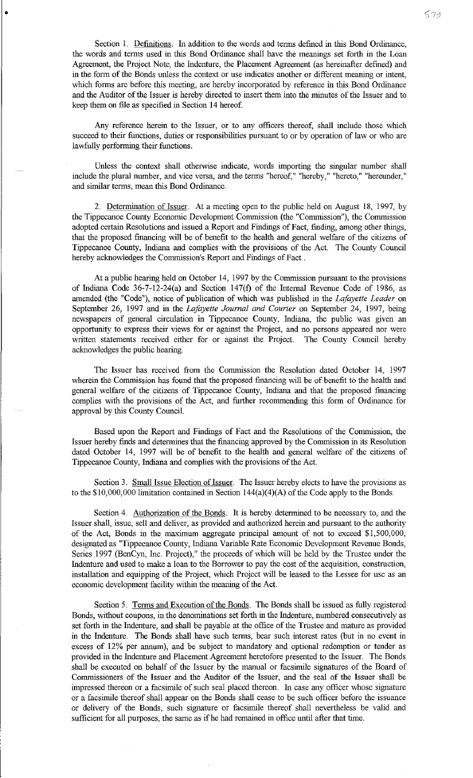•

Any reference herein to the Issuer, or to any officers thereof, shall include those which succeed to their functions, duties or responsibilities pursuant to or by operation of law or who are lawfully performing their functions.

Unless the context shall otherwise indicate, words importing the singular number shall include the plural number, and vice versa, and the terms "hereof," "hereby," "hereto," "hereunder," and similar terms, mean this Bond Ordinance.

2. Detennination of Issuer. At a meeting open to the public held on August 18, 1997, by the Tippecanoe County Economic Development Commission (the "Commission"), the Commission adopted certain Resolutions and issued a Report and Findings of Fact, finding, among other things, that the proposed financing will be of benefit to the health and general welfare of the citizens of Tippecanoe County, Indiana and complies with the provisions of the Act. The County Council hereby acknowledges the Commission's Report and Findings of Fact.

At a public hearing held on October 14, 1997 by the Commission pursuant to the provisions of Indiana Code 36-7-12-24(a) and Section 147(£) of the Internal Revenue Code of 1986, as amended (the "Code"), notice of publication of which was published in the *Lafayette Leader* on September 26, 1997 and in the *Lafayette Journal and Courier* on September 24, 1997, being newspapers of general circulation in Tippecanoe County, Indiana, the public was given an opportunity to express their views for or against the Project, and no persons appeared nor were written statements received either for or against the Project. The County Council hereby acknowledges the public hearing.

The Issuer has received from the Commission the Resolution dated October 14, 1997 wherein the Commission has found that the proposed financing will be of benefit to the health and general welfare of the citizens of Tippecanoe County, Indiana and that the proposed financing complies with the provisions of the Act, and further recommending this form of Ordinance for approval by this County Council.

Based upon the Report and Findings of Fact and the Resolutions of the Commission, the Issuer hereby finds and determines that the financing approved by the Commission in its Resolution dated October 14, 1997 will be of benefit to the health and general welfare of the citizens of Tippecanoe County, Incliana and complies with the provisions of the Act.

Section 3. Small Issue Election of Issuer. The Issuer hereby elects to have the provisions as to the \$10,000,000 limitation contained in Section 144(a)(4)(A) of the Code apply to the Bonds.

Section 4. Authorization of the Bonds. It is hereby determined to be necessary to, and the Issuer shall, issue, sell and deliver, as provided and authorized herein and pursuant to the authority of the Act, Bonds in the maximum aggregate principal amount of not to exceed \$1,500,000, designated as "Tippecanoe County, Indiana Variable Rate Economic Development Revenue Bonds, Series 1997 (BenCyn, Inc. Project)," the proceeds of which will be held by the Trustee under the Indenture and used to make a Joan to the Borrower to pay the cost of the acquisition, construction, installation and equipping of the Project, which Project will be leased to the Lessee for use as an economic development facility within the meaning of the Act.

Section 5. Terms and Execution of the Bonds. The Bonds shall be issued as fully registered Bonds, without coupons, in the denominations set forth in the Indenture, numbered consecutively as set forth in the Indenture, and shall be payable at the office of the Trustee and mature as provided in the Indenture. The Bonds shall have such terms, bear such interest rates (but in no event in excess of 12% per annum), and be subject to mandatory and optional redemption or tender as provided in the Indenture and Placement Agreement heretofore presented to the Issuer. The Bonds shall be executed on behalf of the Issuer by the manual or facsimile signatures of the Board of Commissioners of the Issuer and the Auditor of the Issuer, and the seal of the Issuer shall be impressed thereon or a facsimile of such seal placed thereon. In case any officer whose signature or a facsimile thereof shall appear 0n the Bonds shall cease to be such officer before the issuance or delivery of the Bonds, such signature or facsimile thereof shall nevertheless be valid and sufficient for all purposes, the same as if he had remained in office until after that time.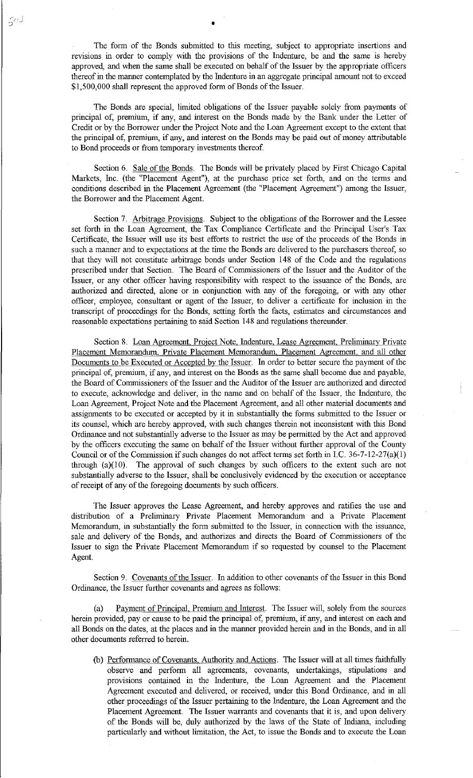The form of the Bonds submitted to this meeting, subject to appropriate insertions and revisions in order to comply with the provisions of the Indenture, be and the same is hereby approved, and when the same shall be executed on behalf of the Issuer by the appropriate officers thereof in the manner contemplated by the Indenture in an aggregate principal amount not to exceed \$1,500,000 shall represent the approved form of Bonds of the Issuer.

•

The Bonds are special, limited obligations of the Issuer payable solely from payments of principal of; premium, if any, and interest on the Bonds made by the Bank under the Letter of Credit or by the Borrower under the Project Note and the Loan Agreement except to the extent that the principal of, premium, if any, and interest on the Bonds may be paid out of money attributable to Bond proceeds or from temporary investments thereof.

Section 6. Sale of the Bonds. The Bonds will be privately placed by First Chicago Capital Markets, Inc. (the "Placement Agent"), at the purchase price set forth, and on the terms and conditions described in the Placement Agreement (the "Placement Agreement") among the Issuer, the Borrower and the Placement Agent.

Section 7. Arbitrage Provisions. Subject to the obligations of the Borrower and the Lessee set forth in the Loan Agreement, the Tax Compliance Certificate and the Principal User's Tax Certificate, the Issuer will use its best efforts to restrict the use of the proceeds of the Bonds in such a manner and to expectations at the time the Bonds are delivered to the purchasers thereof, so that they will not constitute arbitrage bonds under Section 148 of the Code and the regulations prescribed under that Section. The Board of Commissioners of the Issuer and the Auditor of the Issuer, or any other officer having responsibility with respect to the issuance of the Bonds, are authorized and directed, alone or in conjunction with any of the foregoing, or with any other officer, employee, consultant or agent of the Issuer, to deliver a certificate for inclusion in the transcript of proceedings for the Bonds, setting forth the facts, estimates and circumstances and reasonable expectations pertaining to said Section 148 and regulations thereunder.

Section 8. Loan Agreement. Project Note. Indenture, Lease Agreement. Preliminary Private Placement Memorandum, Private Placement Memorandum, Placement Agreement, and all other Documents to be Executed or Accepted by the Issuer. In order to better secure the payment of the principal of, premium, if any, and interest on the Bonds as the same shall become due and payable, the Board of Commissioners of the Issuer and the Auditor of the Issuer are authorized and directed to execute, acknowledge and deliver, in the name and on behalf of the Issuer, the Indenture, the Loan Agreement, Project Note and the Placement Agreement, and all other material documents and assignments to be executed or accepted by it in substantially the forms submitted to the Issuer or its counsel, which are hereby approved, with such changes therein not inconsistent with this Bond Ordinance and not substantially adverse to the Issuer as may be permitted by the Act and approved by the officers executing the same on behalf of the Issuer without farther approval of the County Council or of the Commission if such changes do not affect terms set forth in LC. 36-7-12-27(a)(l) through  $(a)(10)$ . The approval of such changes by such officers to the extent such are not substantially adverse to the Issuer, shall be conclusively evidenced by the execution or acceptance of receipt of any of the foregoing documents by such officers.

The Issuer approves the Lease Agreement, and hereby approves and ratifies the use and distribution of a Preliminary Private Placement Memorandum and a Private Placement Memorandum, in substantially the form submitted to the Issuer, in connection with the issuance, sale and delivery of the Bonds, and authorizes and directs the Board of Commissioners of the Issuer to sign the Private Placement Memorandum if so requested by counsel to the Placement Agent.

Section 9. Covenants of the Issuer. In addition to other covenants of the Issuer in this Bond Ordinance, the Issuer further covenants and agrees as follows:

(a) Payment of Principal, Premium and Interest. The Issuer will, solely from the sources herein provided, pay or cause to be paid the principal of, premium, if any, and interest on each and all Bonds on the dates, at the places and in the manner provided herein and in the Bonds, and in all other documents referred to herein.

(b) Performance of Covenants. Authority and Actions. The Issuer will at all times faithfully observe and perform all agreements, covenants, undertakings, stipulations and provisions contained in the Indenture, the Loan Agreement and the Placement Agreement executed and delivered, or received, under this Bond Ordinance, and in all other proceedings of the Issuer pertaining to the Indenture, the Loan Agreement and the Placement Agreement. The Issuer warrants and covenants that it is, and upon delivery of the Bonds will be, duly authorized by the laws of the State of Indiana, including particularly and without limitation, the Act, to issue the Bonds and to execute the Loan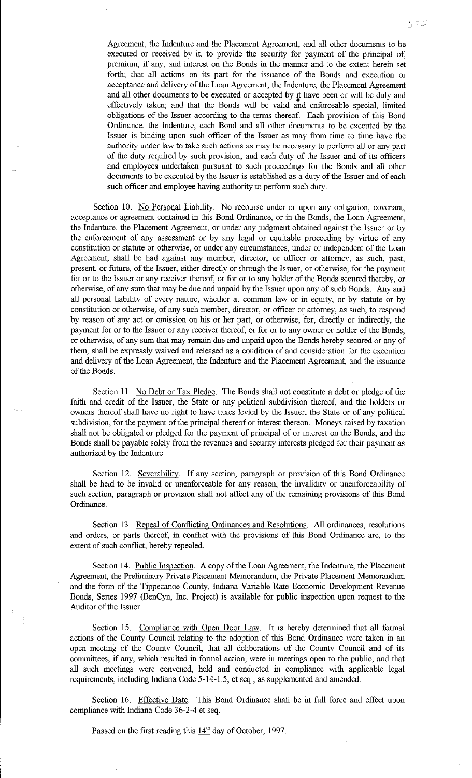Agreement, the Indenture and the Placement Agreement, and all other docmnents to be executed or received by it, to provide the security for payment of the principal of, premium, if any, and interest on the Bonds in the manner and to the extent herein set forth; that all actions on its part for the issuance of the Bonds and execution or acceptance and delivery of the Loan Agreement, the Indenture, the Placement Agreement and all other documents to be executed or accepted by it have been or will be duly and • effectively taken; and that the Bonds will be valid and enforceable special, limited obligations of the Issuer according to the terms thereof. Each provision of this Bond Ordinance, the Indenture, each Bond and all other documents to be executed by the Issuer is binding upon such officer of the Issuer as may from time to time have the authority under law to take such actions as may be necessary to perform all or any part of the duty required by such provision; and each duty of the Issuer and of its officers and employees undertaken pursuant to such proceedings for the Bonds and all other documents to be executed by the Issuer is established as a duty of the Issuer and of each such officer and employee having authority to perform such duty.

Section 10. No Personal Liability. No recourse under or upon any obligation, covenant, acceptance or agreement contained in this Bond Ordinance, or in the Bonds, the Loan Agreement, the Indenture, the Placement Agreement, or under any judgment obtained against the Issuer or by the enforcement of any assessment or by any legal or equitable proceeding by virtue of any constitution or statute or otherwise, or under any circumstances, under or independent of the Loan Agreement, shall be had against any member, director, or officer or attorney, as such, past, present, or future, of the Issuer, either directly or through the Issuer, or otherwise, for the payment for or to the Issuer or any receiver thereof, or for or to any holder of the Bonds secured thereby, or otherwise, of any sum that may be due and unpaid by the Issuer upon any of such Bonds. Any and all personal liability of every nature, whether at common law or in equity, or by statute or by constitution or otherwise, of any such member, director, or officer or attorney, as such, to respond by reason of any act or omission on his or her part, or otherwise, for, directly or indirectly, the payment for or to the Issuer or any receiver thereof, or for or to any owner or holder of the Bonds, or otherwise, of any sum that may remain due and unpaid upon the Bonds hereby secured or any of them, shall be expressly waived and released as a condition of and consideration for the execution and delivery of the Loan Agreement, the Indenture and the Placement Agreement, and the issuance of the Bonds.

Section 11. No Debt or Tax Pledge. The Bonds shall not constitute a debt or pledge of the faith and credit of the Issuer, the State or any political subdivision thereof, and the holders or owners thereof shall have no right to have taxes levied by the Issuer, the State or of any political subdivision, for the payment of the principal thereof or interest thereon. Moneys raised by taxation shall not be obligated or pledged for the payment of principal of or interest on the Bonds, and the Bonds shall be payable solely from the revenues and security interests pledged for their payment as authorized by the Indenture.

Section 12. Severability. If any section, paragraph or provision of this Bond Ordinance shall be held to be invalid or unenforceable for any reason, the invalidity or unenforceability of such section, paragraph or provision shall not affect any of the remaining provisions of this Bond Ordinance.

Section 13. Repeal of Conflicting Ordinances and Resolutions. All ordinances, resolutions and orders, or parts thereof, in conflict with the provisions of this Bond Ordinance are, to the extent of such conflict, hereby repealed.

Section 14. Public Inspection. A copy of the Loan Agreement, the Indenture, the Placement Agreement, the Preliminary Private Placement Memorandum, the Private Placement Memorandum and the form of the Tippecanoe County, Indiana Variable Rate Economic Development Revenue Bonds, Series 1997 (BenCyn, Inc. Project) is available for public inspection upon request to the Auditor of the Issuer.

Section 15. Compliance with Open Door Law. It is hereby determined that all formal actions of the County Council relating to the adoption of this Bond Ordinance were taken in an open meeting of the County Council, that all deliberations of the County Council and of its committees, if any, which resulted in formal action, were in meetings open to the public, and that all such meetings were convened, held and conducted in compliance with applicable legal requirements, including Indiana Code 5-14-1.5, et seq., as supplemented and amended.

Section 16. Effective Date. This Bond Ordinance shall be in full force and effect upon compliance with Indiana Code 36-2-4 et seq.

Passed on the first reading this  $14<sup>th</sup>$  day of October, 1997.